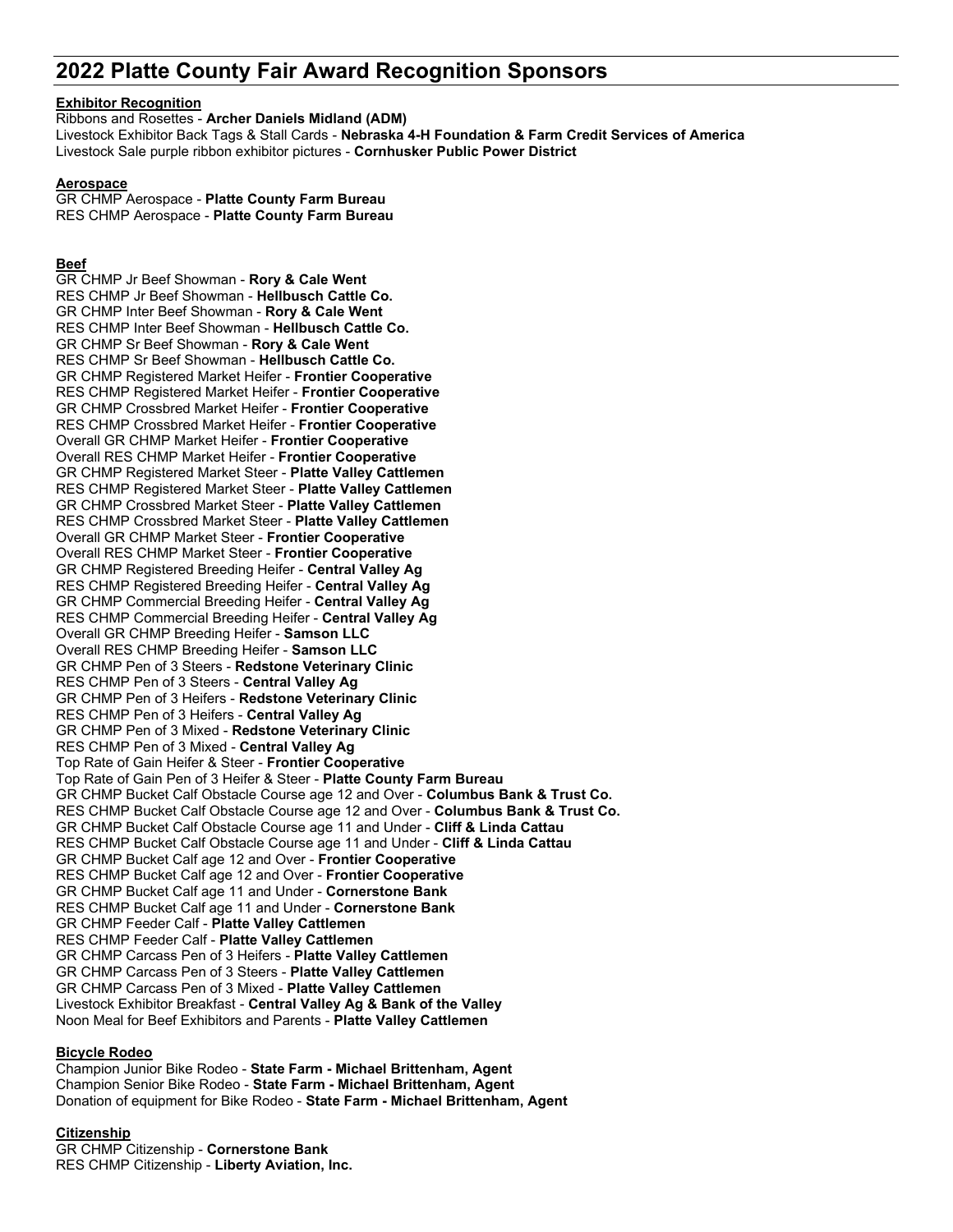# **2022 Platte County Fair Award Recognition Sponsors**

### **Exhibitor Recognition**

Ribbons and Rosettes - **Archer Daniels Midland (ADM)** Livestock Exhibitor Back Tags & Stall Cards - **Nebraska 4-H Foundation & Farm Credit Services of America** Livestock Sale purple ribbon exhibitor pictures - **Cornhusker Public Power District**

### **Aerospace**

GR CHMP Aerospace - **Platte County Farm Bureau** RES CHMP Aerospace - **Platte County Farm Bureau**

### **Beef**

GR CHMP Jr Beef Showman - **Rory & Cale Went** RES CHMP Jr Beef Showman - **Hellbusch Cattle Co.** GR CHMP Inter Beef Showman - **Rory & Cale Went** RES CHMP Inter Beef Showman - **Hellbusch Cattle Co.** GR CHMP Sr Beef Showman - **Rory & Cale Went** RES CHMP Sr Beef Showman - **Hellbusch Cattle Co.** GR CHMP Registered Market Heifer - **Frontier Cooperative** RES CHMP Registered Market Heifer - **Frontier Cooperative** GR CHMP Crossbred Market Heifer - **Frontier Cooperative** RES CHMP Crossbred Market Heifer - **Frontier Cooperative** Overall GR CHMP Market Heifer - **Frontier Cooperative** Overall RES CHMP Market Heifer - **Frontier Cooperative** GR CHMP Registered Market Steer - **Platte Valley Cattlemen** RES CHMP Registered Market Steer - **Platte Valley Cattlemen** GR CHMP Crossbred Market Steer - **Platte Valley Cattlemen** RES CHMP Crossbred Market Steer - **Platte Valley Cattlemen** Overall GR CHMP Market Steer - **Frontier Cooperative** Overall RES CHMP Market Steer - **Frontier Cooperative** GR CHMP Registered Breeding Heifer - **Central Valley Ag** RES CHMP Registered Breeding Heifer - **Central Valley Ag** GR CHMP Commercial Breeding Heifer - **Central Valley Ag** RES CHMP Commercial Breeding Heifer - **Central Valley Ag** Overall GR CHMP Breeding Heifer - **Samson LLC** Overall RES CHMP Breeding Heifer - **Samson LLC** GR CHMP Pen of 3 Steers - **Redstone Veterinary Clinic** RES CHMP Pen of 3 Steers - **Central Valley Ag** GR CHMP Pen of 3 Heifers - **Redstone Veterinary Clinic** RES CHMP Pen of 3 Heifers - **Central Valley Ag** GR CHMP Pen of 3 Mixed - **Redstone Veterinary Clinic** RES CHMP Pen of 3 Mixed - **Central Valley Ag** Top Rate of Gain Heifer & Steer - **Frontier Cooperative** Top Rate of Gain Pen of 3 Heifer & Steer - **Platte County Farm Bureau** GR CHMP Bucket Calf Obstacle Course age 12 and Over - **Columbus Bank & Trust Co.** RES CHMP Bucket Calf Obstacle Course age 12 and Over - **Columbus Bank & Trust Co.** GR CHMP Bucket Calf Obstacle Course age 11 and Under - **Cliff & Linda Cattau** RES CHMP Bucket Calf Obstacle Course age 11 and Under - **Cliff & Linda Cattau** GR CHMP Bucket Calf age 12 and Over - **Frontier Cooperative** RES CHMP Bucket Calf age 12 and Over - **Frontier Cooperative** GR CHMP Bucket Calf age 11 and Under - **Cornerstone Bank** RES CHMP Bucket Calf age 11 and Under - **Cornerstone Bank** GR CHMP Feeder Calf - **Platte Valley Cattlemen** RES CHMP Feeder Calf - **Platte Valley Cattlemen** GR CHMP Carcass Pen of 3 Heifers - **Platte Valley Cattlemen** GR CHMP Carcass Pen of 3 Steers - **Platte Valley Cattlemen** GR CHMP Carcass Pen of 3 Mixed - **Platte Valley Cattlemen** Livestock Exhibitor Breakfast - **Central Valley Ag & Bank of the Valley** Noon Meal for Beef Exhibitors and Parents - **Platte Valley Cattlemen**

### **Bicycle Rodeo**

Champion Junior Bike Rodeo - **State Farm - Michael Brittenham, Agent** Champion Senior Bike Rodeo - **State Farm - Michael Brittenham, Agent** Donation of equipment for Bike Rodeo - **State Farm - Michael Brittenham, Agent**

### **Citizenship**

GR CHMP Citizenship - **Cornerstone Bank** RES CHMP Citizenship - **Liberty Aviation, Inc.**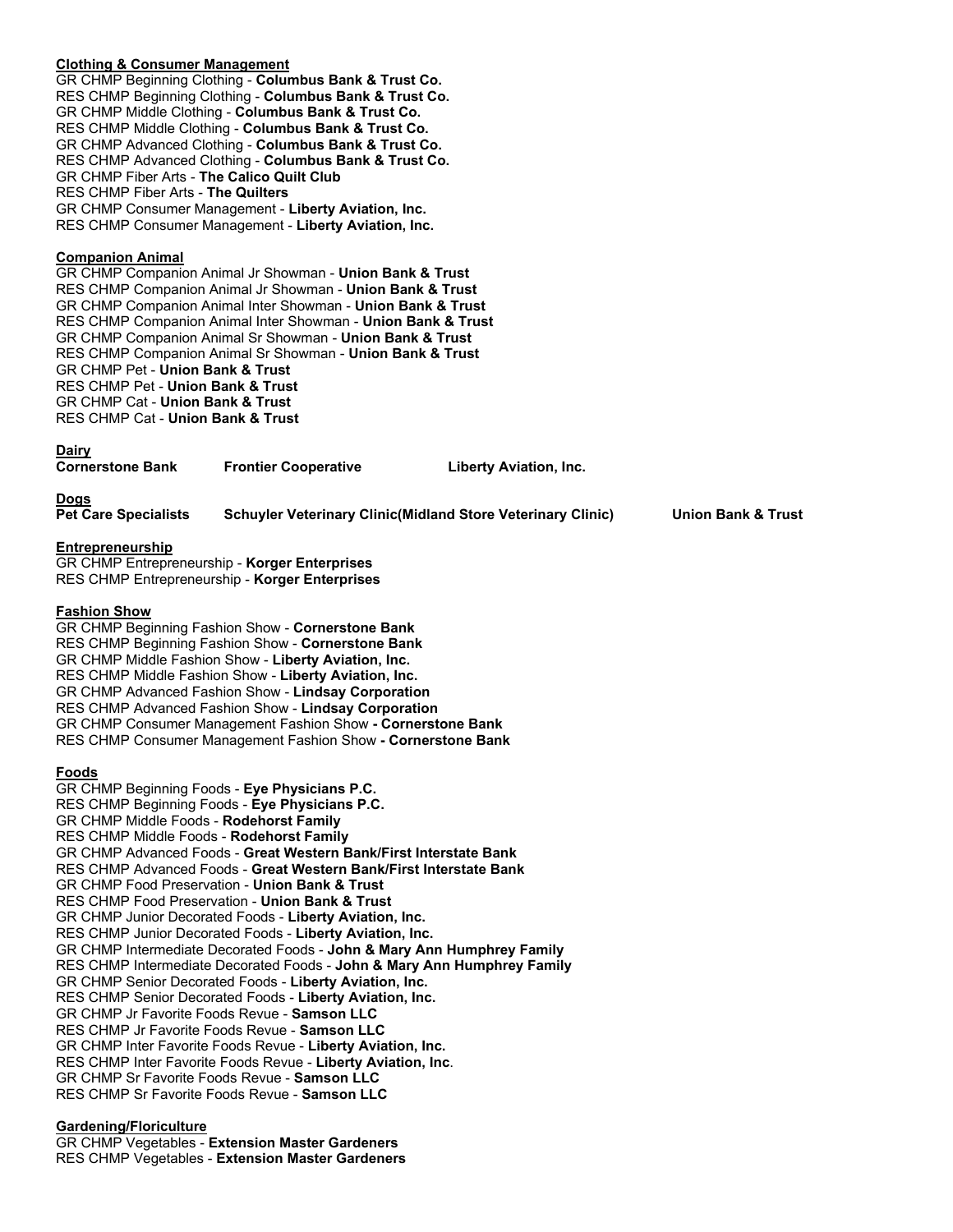# **Clothing & Consumer Management**

GR CHMP Beginning Clothing - **Columbus Bank & Trust Co.** RES CHMP Beginning Clothing - **Columbus Bank & Trust Co.** GR CHMP Middle Clothing - **Columbus Bank & Trust Co.** RES CHMP Middle Clothing - **Columbus Bank & Trust Co.** GR CHMP Advanced Clothing - **Columbus Bank & Trust Co.** RES CHMP Advanced Clothing - **Columbus Bank & Trust Co.** GR CHMP Fiber Arts - **The Calico Quilt Club** RES CHMP Fiber Arts - **The Quilters** GR CHMP Consumer Management - **Liberty Aviation, Inc.** RES CHMP Consumer Management - **Liberty Aviation, Inc.**

### **Companion Animal**

GR CHMP Companion Animal Jr Showman - **Union Bank & Trust** RES CHMP Companion Animal Jr Showman - **Union Bank & Trust** GR CHMP Companion Animal Inter Showman - **Union Bank & Trust** RES CHMP Companion Animal Inter Showman - **Union Bank & Trust** GR CHMP Companion Animal Sr Showman - **Union Bank & Trust** RES CHMP Companion Animal Sr Showman - **Union Bank & Trust** GR CHMP Pet - **Union Bank & Trust** RES CHMP Pet - **Union Bank & Trust** GR CHMP Cat - **Union Bank & Trust** RES CHMP Cat - **Union Bank & Trust**

### **Dairy**

| <b>Cornerstone Bank</b> | <b>Frontier Cooperative</b> | <b>Liberty Aviation, Inc.</b> |
|-------------------------|-----------------------------|-------------------------------|
|                         |                             |                               |

**Dogs**

**Pet Care Specialists Schuyler Veterinary Clinic(Midland Store Veterinary Clinic) Union Bank & Trust**

### **Entrepreneurship**

GR CHMP Entrepreneurship - **Korger Enterprises** RES CHMP Entrepreneurship - **Korger Enterprises**

### **Fashion Show**

GR CHMP Beginning Fashion Show - **Cornerstone Bank** RES CHMP Beginning Fashion Show - **Cornerstone Bank** GR CHMP Middle Fashion Show - **Liberty Aviation, Inc.** RES CHMP Middle Fashion Show - **Liberty Aviation, Inc.** GR CHMP Advanced Fashion Show - **Lindsay Corporation** RES CHMP Advanced Fashion Show - **Lindsay Corporation** GR CHMP Consumer Management Fashion Show **- Cornerstone Bank** RES CHMP Consumer Management Fashion Show **- Cornerstone Bank**

### **Foods**

GR CHMP Beginning Foods - **Eye Physicians P.C.** RES CHMP Beginning Foods - **Eye Physicians P.C.** GR CHMP Middle Foods - **Rodehorst Family** RES CHMP Middle Foods - **Rodehorst Family** GR CHMP Advanced Foods - **Great Western Bank/First Interstate Bank** RES CHMP Advanced Foods - **Great Western Bank/First Interstate Bank** GR CHMP Food Preservation - **Union Bank & Trust** RES CHMP Food Preservation - **Union Bank & Trust** GR CHMP Junior Decorated Foods - **Liberty Aviation, Inc.** RES CHMP Junior Decorated Foods - **Liberty Aviation, Inc.** GR CHMP Intermediate Decorated Foods - **John & Mary Ann Humphrey Family** RES CHMP Intermediate Decorated Foods - **John & Mary Ann Humphrey Family** GR CHMP Senior Decorated Foods - **Liberty Aviation, Inc.** RES CHMP Senior Decorated Foods - **Liberty Aviation, Inc.** GR CHMP Jr Favorite Foods Revue - **Samson LLC** RES CHMP Jr Favorite Foods Revue - **Samson LLC** GR CHMP Inter Favorite Foods Revue - **Liberty Aviation, Inc.** RES CHMP Inter Favorite Foods Revue - **Liberty Aviation, Inc**. GR CHMP Sr Favorite Foods Revue - **Samson LLC** RES CHMP Sr Favorite Foods Revue - **Samson LLC**

### **Gardening/Floriculture**

GR CHMP Vegetables - **Extension Master Gardeners** RES CHMP Vegetables - **Extension Master Gardeners**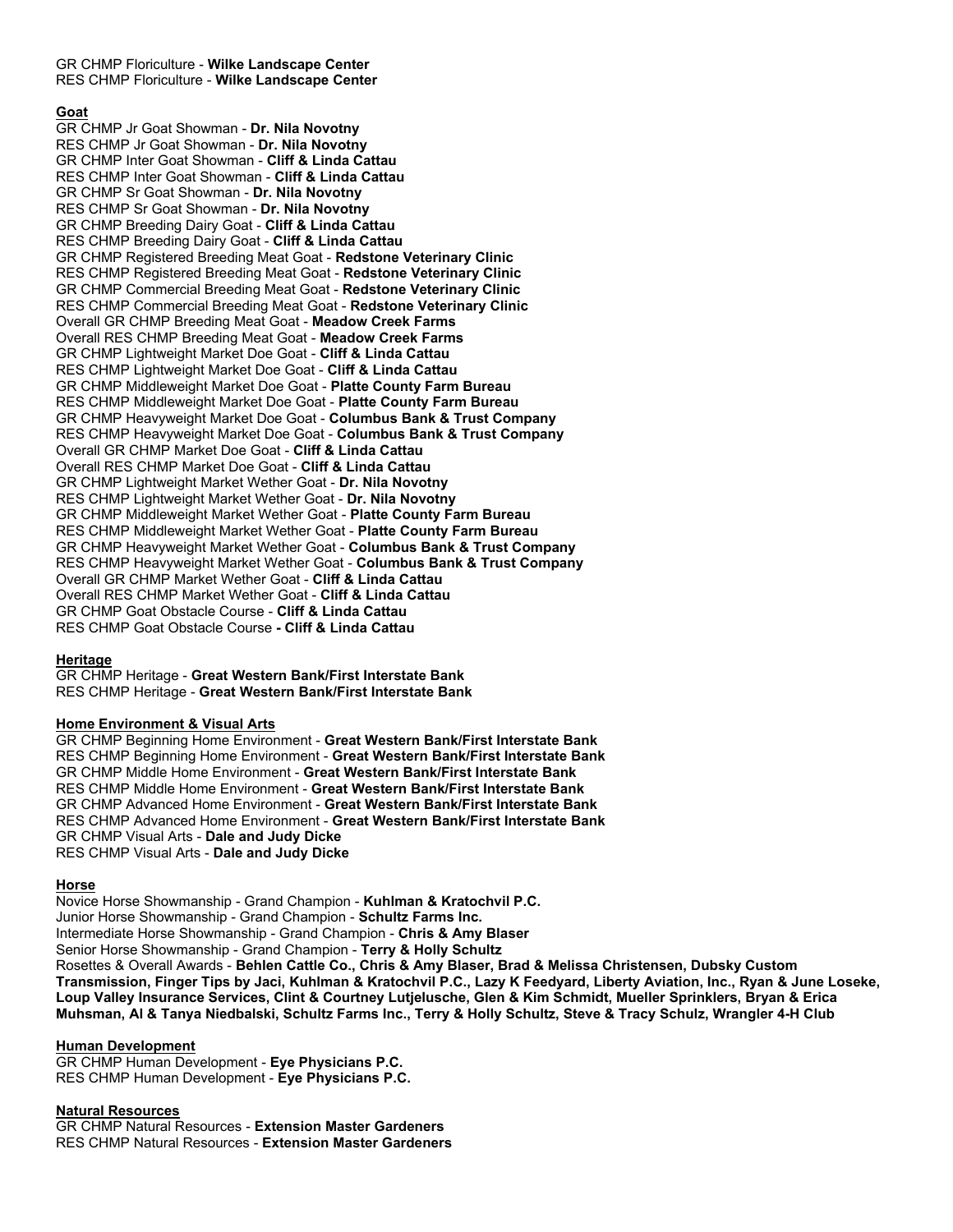GR CHMP Floriculture - **Wilke Landscape Center** RES CHMP Floriculture - **Wilke Landscape Center**

# **Goat**

GR CHMP Jr Goat Showman - **Dr. Nila Novotny** RES CHMP Jr Goat Showman - **Dr. Nila Novotny** GR CHMP Inter Goat Showman - **Cliff & Linda Cattau** RES CHMP Inter Goat Showman - **Cliff & Linda Cattau** GR CHMP Sr Goat Showman - **Dr. Nila Novotny** RES CHMP Sr Goat Showman - **Dr. Nila Novotny** GR CHMP Breeding Dairy Goat - **Cliff & Linda Cattau** RES CHMP Breeding Dairy Goat - **Cliff & Linda Cattau** GR CHMP Registered Breeding Meat Goat - **Redstone Veterinary Clinic** RES CHMP Registered Breeding Meat Goat - **Redstone Veterinary Clinic** GR CHMP Commercial Breeding Meat Goat - **Redstone Veterinary Clinic** RES CHMP Commercial Breeding Meat Goat - **Redstone Veterinary Clinic** Overall GR CHMP Breeding Meat Goat - **Meadow Creek Farms** Overall RES CHMP Breeding Meat Goat - **Meadow Creek Farms** GR CHMP Lightweight Market Doe Goat - **Cliff & Linda Cattau** RES CHMP Lightweight Market Doe Goat - **Cliff & Linda Cattau** GR CHMP Middleweight Market Doe Goat - **Platte County Farm Bureau** RES CHMP Middleweight Market Doe Goat - **Platte County Farm Bureau** GR CHMP Heavyweight Market Doe Goat - **Columbus Bank & Trust Company** RES CHMP Heavyweight Market Doe Goat - **Columbus Bank & Trust Company** Overall GR CHMP Market Doe Goat - **Cliff & Linda Cattau** Overall RES CHMP Market Doe Goat - **Cliff & Linda Cattau** GR CHMP Lightweight Market Wether Goat - **Dr. Nila Novotny** RES CHMP Lightweight Market Wether Goat - **Dr. Nila Novotny** GR CHMP Middleweight Market Wether Goat - **Platte County Farm Bureau** RES CHMP Middleweight Market Wether Goat - **Platte County Farm Bureau** GR CHMP Heavyweight Market Wether Goat - **Columbus Bank & Trust Company** RES CHMP Heavyweight Market Wether Goat - **Columbus Bank & Trust Company** Overall GR CHMP Market Wether Goat - **Cliff & Linda Cattau** Overall RES CHMP Market Wether Goat - **Cliff & Linda Cattau** GR CHMP Goat Obstacle Course - **Cliff & Linda Cattau** RES CHMP Goat Obstacle Course **- Cliff & Linda Cattau**

# **Heritage**

GR CHMP Heritage - **Great Western Bank/First Interstate Bank** RES CHMP Heritage - **Great Western Bank/First Interstate Bank**

# **Home Environment & Visual Arts**

GR CHMP Beginning Home Environment - **Great Western Bank/First Interstate Bank** RES CHMP Beginning Home Environment - **Great Western Bank/First Interstate Bank** GR CHMP Middle Home Environment - **Great Western Bank/First Interstate Bank** RES CHMP Middle Home Environment - **Great Western Bank/First Interstate Bank** GR CHMP Advanced Home Environment - **Great Western Bank/First Interstate Bank** RES CHMP Advanced Home Environment - **Great Western Bank/First Interstate Bank** GR CHMP Visual Arts - **Dale and Judy Dicke** RES CHMP Visual Arts - **Dale and Judy Dicke**

### **Horse**

Novice Horse Showmanship - Grand Champion - **Kuhlman & Kratochvil P.C.** Junior Horse Showmanship - Grand Champion - **Schultz Farms Inc.** Intermediate Horse Showmanship - Grand Champion - **Chris & Amy Blaser** Senior Horse Showmanship - Grand Champion - **Terry & Holly Schultz** Rosettes & Overall Awards - **Behlen Cattle Co., Chris & Amy Blaser, Brad & Melissa Christensen, Dubsky Custom Transmission, Finger Tips by Jaci, Kuhlman & Kratochvil P.C., Lazy K Feedyard, Liberty Aviation, Inc., Ryan & June Loseke, Loup Valley Insurance Services, Clint & Courtney Lutjelusche, Glen & Kim Schmidt, Mueller Sprinklers, Bryan & Erica Muhsman, Al & Tanya Niedbalski, Schultz Farms Inc., Terry & Holly Schultz, Steve & Tracy Schulz, Wrangler 4-H Club**

### **Human Development**

GR CHMP Human Development - **Eye Physicians P.C.** RES CHMP Human Development - **Eye Physicians P.C.**

### **Natural Resources**

GR CHMP Natural Resources - **Extension Master Gardeners** RES CHMP Natural Resources - **Extension Master Gardeners**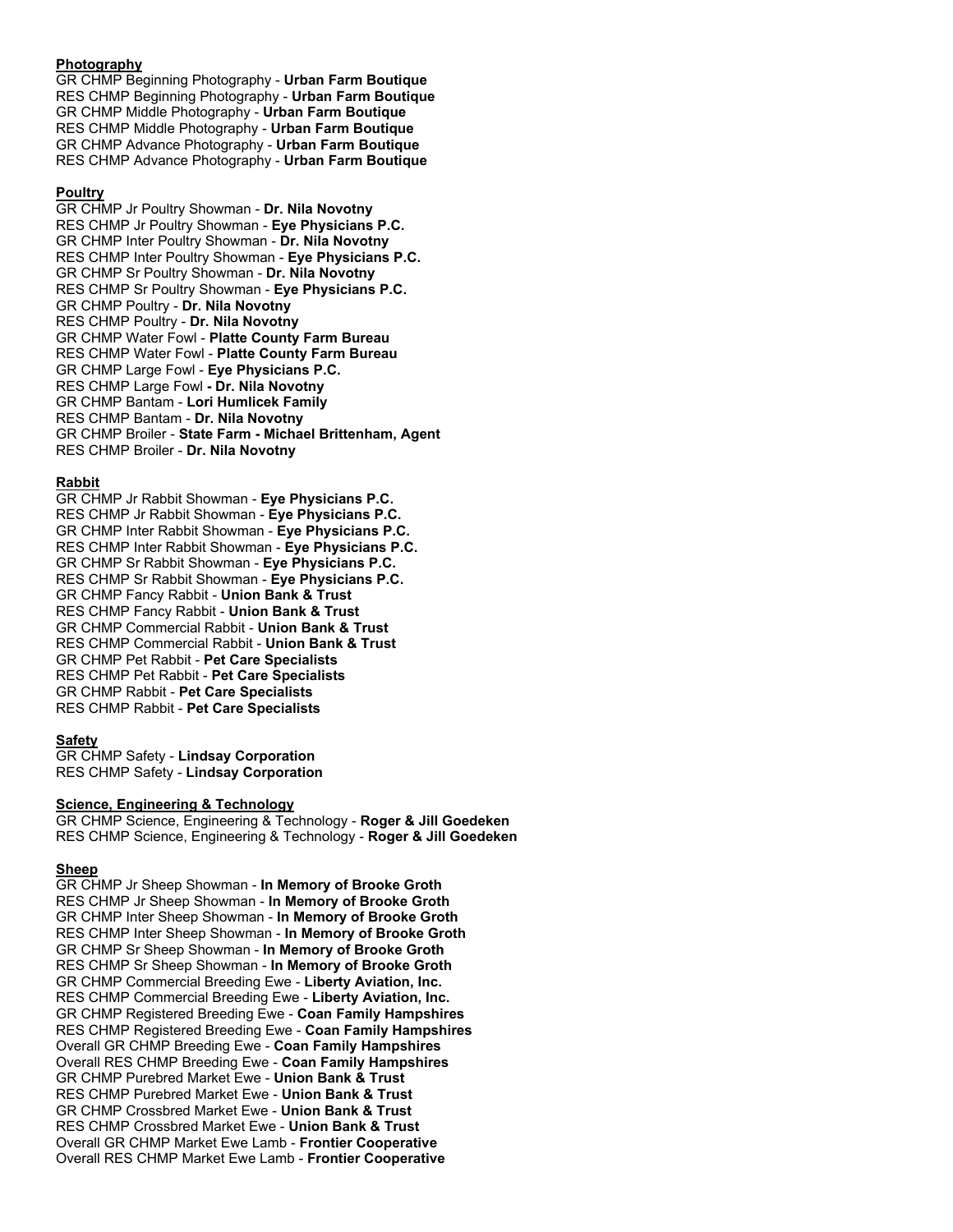# **Photography**

GR CHMP Beginning Photography - **Urban Farm Boutique** RES CHMP Beginning Photography - **Urban Farm Boutique** GR CHMP Middle Photography - **Urban Farm Boutique** RES CHMP Middle Photography - **Urban Farm Boutique** GR CHMP Advance Photography - **Urban Farm Boutique** RES CHMP Advance Photography - **Urban Farm Boutique**

# **Poultry**

GR CHMP Jr Poultry Showman - **Dr. Nila Novotny** RES CHMP Jr Poultry Showman - **Eye Physicians P.C.** GR CHMP Inter Poultry Showman - **Dr. Nila Novotny** RES CHMP Inter Poultry Showman - **Eye Physicians P.C.** GR CHMP Sr Poultry Showman - **Dr. Nila Novotny** RES CHMP Sr Poultry Showman - **Eye Physicians P.C.** GR CHMP Poultry - **Dr. Nila Novotny** RES CHMP Poultry - **Dr. Nila Novotny** GR CHMP Water Fowl - **Platte County Farm Bureau** RES CHMP Water Fowl - **Platte County Farm Bureau** GR CHMP Large Fowl - **Eye Physicians P.C.** RES CHMP Large Fowl **- Dr. Nila Novotny** GR CHMP Bantam - **Lori Humlicek Family** RES CHMP Bantam - **Dr. Nila Novotny** GR CHMP Broiler - **State Farm - Michael Brittenham, Agent** RES CHMP Broiler - **Dr. Nila Novotny**

# **Rabbit**

GR CHMP Jr Rabbit Showman - **Eye Physicians P.C.** RES CHMP Jr Rabbit Showman - **Eye Physicians P.C.** GR CHMP Inter Rabbit Showman - **Eye Physicians P.C.** RES CHMP Inter Rabbit Showman - **Eye Physicians P.C.** GR CHMP Sr Rabbit Showman - **Eye Physicians P.C.** RES CHMP Sr Rabbit Showman - **Eye Physicians P.C.** GR CHMP Fancy Rabbit - **Union Bank & Trust** RES CHMP Fancy Rabbit - **Union Bank & Trust** GR CHMP Commercial Rabbit - **Union Bank & Trust** RES CHMP Commercial Rabbit - **Union Bank & Trust** GR CHMP Pet Rabbit - **Pet Care Specialists** RES CHMP Pet Rabbit - **Pet Care Specialists** GR CHMP Rabbit - **Pet Care Specialists** RES CHMP Rabbit - **Pet Care Specialists**

# **Safety**

GR CHMP Safety - **Lindsay Corporation** RES CHMP Safety - **Lindsay Corporation**

# **Science, Engineering & Technology**

GR CHMP Science, Engineering & Technology - **Roger & Jill Goedeken** RES CHMP Science, Engineering & Technology - **Roger & Jill Goedeken**

# **Sheep**

GR CHMP Jr Sheep Showman - **In Memory of Brooke Groth** RES CHMP Jr Sheep Showman - **In Memory of Brooke Groth** GR CHMP Inter Sheep Showman - **In Memory of Brooke Groth** RES CHMP Inter Sheep Showman - **In Memory of Brooke Groth** GR CHMP Sr Sheep Showman - **In Memory of Brooke Groth** RES CHMP Sr Sheep Showman - **In Memory of Brooke Groth** GR CHMP Commercial Breeding Ewe - **Liberty Aviation, Inc.** RES CHMP Commercial Breeding Ewe - **Liberty Aviation, Inc.** GR CHMP Registered Breeding Ewe - **Coan Family Hampshires** RES CHMP Registered Breeding Ewe - **Coan Family Hampshires** Overall GR CHMP Breeding Ewe - **Coan Family Hampshires** Overall RES CHMP Breeding Ewe - **Coan Family Hampshires** GR CHMP Purebred Market Ewe - **Union Bank & Trust** RES CHMP Purebred Market Ewe - **Union Bank & Trust** GR CHMP Crossbred Market Ewe - **Union Bank & Trust** RES CHMP Crossbred Market Ewe - **Union Bank & Trust** Overall GR CHMP Market Ewe Lamb - **Frontier Cooperative** Overall RES CHMP Market Ewe Lamb - **Frontier Cooperative**